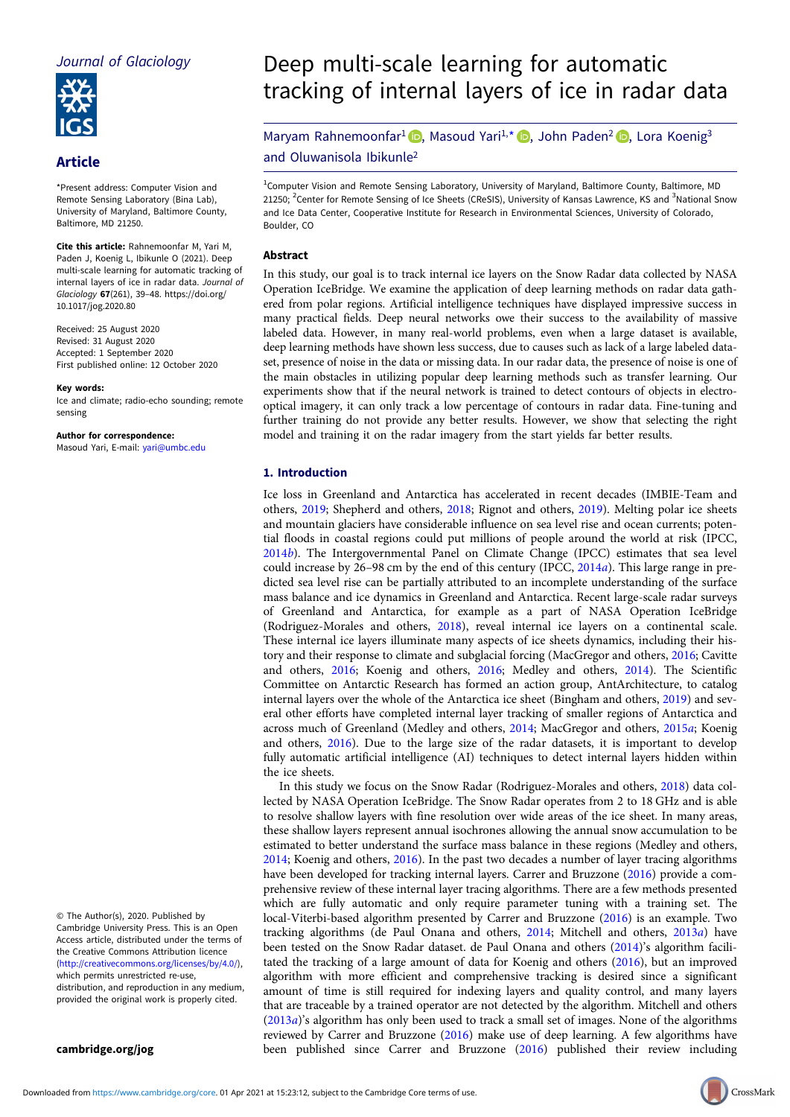Journal of Glaciology



# Article

\*Present address: Computer Vision and Remote Sensing Laboratory (Bina Lab), University of Maryland, Baltimore County, Baltimore, MD 21250.

Cite this article: Rahnemoonfar M, Yari M, Paden J, Koenig L, Ibikunle O (2021). Deep multi-scale learning for automatic tracking of internal layers of ice in radar data. Journal of Glaciology <sup>67</sup>(261), 39–48. [https://doi.org/](https://doi.org/10.1017/jog.2020.80) [10.1017/jog.2020.80](https://doi.org/10.1017/jog.2020.80)

Received: 25 August 2020 Revised: 31 August 2020 Accepted: 1 September 2020 First published online: 12 October 2020

#### Key words:

Ice and climate; radio-echo sounding; remote sensing

Author for correspondence: Masoud Yari, E-mail: [yari@umbc.edu](mailto:yari@umbc.edu)

# Deep multi-scale learning for automatic tracking of internal layers of ice in radar data

Maryam Rahnemoonfar<sup>1</sup> (D[,](https://orcid.org/0000-0003-0775-6284) Masoud Yari<sup>1,\*</sup> (D, John Paden<sup>2</sup> (D, Lora Koenig<sup>3</sup> and Oluwanisola Ibikunle2

<sup>1</sup>Computer Vision and Remote Sensing Laboratory, University of Maryland, Baltimore County, Baltimore, MD 21250; <sup>2</sup>Center for Remote Sensing of Ice Sheets (CReSIS), University of Kansas Lawrence, KS and <sup>3</sup>National Snow and Ice Data Center, Cooperative Institute for Research in Environmental Sciences, University of Colorado, Boulder, CO

# Abstract

In this study, our goal is to track internal ice layers on the Snow Radar data collected by NASA Operation IceBridge. We examine the application of deep learning methods on radar data gathered from polar regions. Artificial intelligence techniques have displayed impressive success in many practical fields. Deep neural networks owe their success to the availability of massive labeled data. However, in many real-world problems, even when a large dataset is available, deep learning methods have shown less success, due to causes such as lack of a large labeled dataset, presence of noise in the data or missing data. In our radar data, the presence of noise is one of the main obstacles in utilizing popular deep learning methods such as transfer learning. Our experiments show that if the neural network is trained to detect contours of objects in electrooptical imagery, it can only track a low percentage of contours in radar data. Fine-tuning and further training do not provide any better results. However, we show that selecting the right model and training it on the radar imagery from the start yields far better results.

# 1. Introduction

Ice loss in Greenland and Antarctica has accelerated in recent decades (IMBIE-Team and others, [2019;](#page-8-0) Shepherd and others, [2018](#page-8-0); Rignot and others, [2019](#page-8-0)). Melting polar ice sheets and mountain glaciers have considerable influence on sea level rise and ocean currents; potential floods in coastal regions could put millions of people around the world at risk (IPCC, [2014](#page-8-0)b). The Intergovernmental Panel on Climate Change (IPCC) estimates that sea level could increase by 26–98 cm by the end of this century (IPCC,  $2014a$  $2014a$ ). This large range in predicted sea level rise can be partially attributed to an incomplete understanding of the surface mass balance and ice dynamics in Greenland and Antarctica. Recent large-scale radar surveys of Greenland and Antarctica, for example as a part of NASA Operation IceBridge (Rodriguez-Morales and others, [2018\)](#page-8-0), reveal internal ice layers on a continental scale. These internal ice layers illuminate many aspects of ice sheets dynamics, including their history and their response to climate and subglacial forcing (MacGregor and others, [2016](#page-8-0); Cavitte and others, [2016](#page-8-0); Koenig and others, [2016](#page-8-0); Medley and others, [2014](#page-8-0)). The Scientific Committee on Antarctic Research has formed an action group, AntArchitecture, to catalog internal layers over the whole of the Antarctica ice sheet (Bingham and others, [2019\)](#page-7-0) and several other efforts have completed internal layer tracking of smaller regions of Antarctica and across much of Greenland (Medley and others, [2014](#page-8-0); MacGregor and others, [2015](#page-8-0)a; Koenig and others, [2016](#page-8-0)). Due to the large size of the radar datasets, it is important to develop fully automatic artificial intelligence (AI) techniques to detect internal layers hidden within the ice sheets.

In this study we focus on the Snow Radar (Rodriguez-Morales and others, [2018](#page-8-0)) data collected by NASA Operation IceBridge. The Snow Radar operates from 2 to 18 GHz and is able to resolve shallow layers with fine resolution over wide areas of the ice sheet. In many areas, these shallow layers represent annual isochrones allowing the annual snow accumulation to be estimated to better understand the surface mass balance in these regions (Medley and others, [2014;](#page-8-0) Koenig and others, [2016\)](#page-8-0). In the past two decades a number of layer tracing algorithms have been developed for tracking internal layers. Carrer and Bruzzone [\(2016](#page-7-0)) provide a comprehensive review of these internal layer tracing algorithms. There are a few methods presented which are fully automatic and only require parameter tuning with a training set. The local-Viterbi-based algorithm presented by Carrer and Bruzzone ([2016](#page-7-0)) is an example. Two tracking algorithms (de Paul Onana and others, [2014](#page-8-0); Mitchell and others, [2013](#page-8-0)a) have been tested on the Snow Radar dataset. de Paul Onana and others [\(2014](#page-8-0))'s algorithm facilitated the tracking of a large amount of data for Koenig and others [\(2016](#page-8-0)), but an improved algorithm with more efficient and comprehensive tracking is desired since a significant amount of time is still required for indexing layers and quality control, and many layers that are traceable by a trained operator are not detected by the algorithm. Mitchell and others ([2013](#page-8-0)a)'s algorithm has only been used to track a small set of images. None of the algorithms reviewed by Carrer and Bruzzone [\(2016](#page-7-0)) make use of deep learning. A few algorithms have been published since Carrer and Bruzzone [\(2016\)](#page-7-0) published their review including

© The Author(s), 2020. Published by Cambridge University Press. This is an Open Access article, distributed under the terms of the Creative Commons Attribution licence ([http://creativecommons.org/licenses/by/4.0/\)](http://creativecommons.org/licenses/by/4.0/), which permits unrestricted re-use, distribution, and reproduction in any medium, provided the original work is properly cited.

[cambridge.org/jog](https://www.cambridge.org/jog)

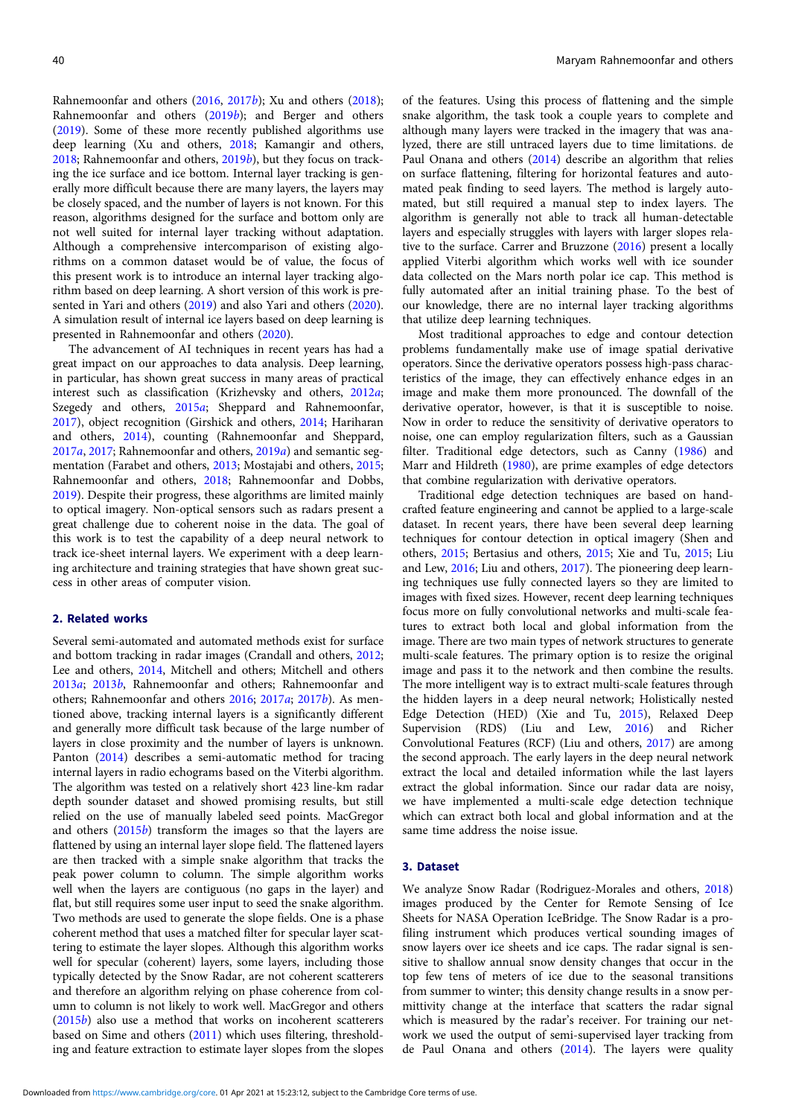Rahnemoonfar and others ([2016](#page-8-0), [2017](#page-8-0)b); Xu and others ([2018\)](#page-9-0); Rahnemoonfar and others ([2019](#page-8-0)b); and Berger and others ([2019](#page-7-0)). Some of these more recently published algorithms use deep learning (Xu and others, [2018](#page-9-0); Kamangir and others, [2018;](#page-8-0) Rahnemoonfar and others, [2019](#page-8-0)b), but they focus on tracking the ice surface and ice bottom. Internal layer tracking is generally more difficult because there are many layers, the layers may be closely spaced, and the number of layers is not known. For this reason, algorithms designed for the surface and bottom only are not well suited for internal layer tracking without adaptation. Although a comprehensive intercomparison of existing algorithms on a common dataset would be of value, the focus of this present work is to introduce an internal layer tracking algorithm based on deep learning. A short version of this work is presented in Yari and others ([2019](#page-9-0)) and also Yari and others ([2020\)](#page-9-0). A simulation result of internal ice layers based on deep learning is presented in Rahnemoonfar and others ([2020\)](#page-8-0).

The advancement of AI techniques in recent years has had a great impact on our approaches to data analysis. Deep learning, in particular, has shown great success in many areas of practical interest such as classification (Krizhevsky and others, [2012](#page-8-0)a; Szegedy and others, [2015](#page-9-0)a; Sheppard and Rahnemoonfar, [2017\)](#page-8-0), object recognition (Girshick and others, [2014](#page-8-0); Hariharan and others, [2014](#page-8-0)), counting (Rahnemoonfar and Sheppard, [2017](#page-8-0)a, [2017](#page-8-0); Rahnemoonfar and others, [2019](#page-8-0)a) and semantic segmentation (Farabet and others, [2013;](#page-8-0) Mostajabi and others, [2015](#page-8-0); Rahnemoonfar and others, [2018;](#page-8-0) Rahnemoonfar and Dobbs, [2019\)](#page-8-0). Despite their progress, these algorithms are limited mainly to optical imagery. Non-optical sensors such as radars present a great challenge due to coherent noise in the data. The goal of this work is to test the capability of a deep neural network to track ice-sheet internal layers. We experiment with a deep learning architecture and training strategies that have shown great success in other areas of computer vision.

#### 2. Related works

Several semi-automated and automated methods exist for surface and bottom tracking in radar images (Crandall and others, [2012](#page-8-0); Lee and others, [2014,](#page-8-0) Mitchell and others; Mitchell and others [2013](#page-8-0)a; [2013](#page-8-0)b, Rahnemoonfar and others; Rahnemoonfar and others; Rahnemoonfar and others [2016;](#page-8-0) [2017](#page-8-0)a; [2017](#page-8-0)b). As mentioned above, tracking internal layers is a significantly different and generally more difficult task because of the large number of layers in close proximity and the number of layers is unknown. Panton ([2014](#page-8-0)) describes a semi-automatic method for tracing internal layers in radio echograms based on the Viterbi algorithm. The algorithm was tested on a relatively short 423 line-km radar depth sounder dataset and showed promising results, but still relied on the use of manually labeled seed points. MacGregor and others  $(2015b)$  $(2015b)$  $(2015b)$  transform the images so that the layers are flattened by using an internal layer slope field. The flattened layers are then tracked with a simple snake algorithm that tracks the peak power column to column. The simple algorithm works well when the layers are contiguous (no gaps in the layer) and flat, but still requires some user input to seed the snake algorithm. Two methods are used to generate the slope fields. One is a phase coherent method that uses a matched filter for specular layer scattering to estimate the layer slopes. Although this algorithm works well for specular (coherent) layers, some layers, including those typically detected by the Snow Radar, are not coherent scatterers and therefore an algorithm relying on phase coherence from column to column is not likely to work well. MacGregor and others ([2015](#page-8-0)b) also use a method that works on incoherent scatterers based on Sime and others ([2011\)](#page-8-0) which uses filtering, thresholding and feature extraction to estimate layer slopes from the slopes

of the features. Using this process of flattening and the simple snake algorithm, the task took a couple years to complete and although many layers were tracked in the imagery that was analyzed, there are still untraced layers due to time limitations. de Paul Onana and others [\(2014](#page-8-0)) describe an algorithm that relies on surface flattening, filtering for horizontal features and automated peak finding to seed layers. The method is largely automated, but still required a manual step to index layers. The algorithm is generally not able to track all human-detectable layers and especially struggles with layers with larger slopes relative to the surface. Carrer and Bruzzone [\(2016\)](#page-7-0) present a locally applied Viterbi algorithm which works well with ice sounder data collected on the Mars north polar ice cap. This method is fully automated after an initial training phase. To the best of our knowledge, there are no internal layer tracking algorithms that utilize deep learning techniques.

Most traditional approaches to edge and contour detection problems fundamentally make use of image spatial derivative operators. Since the derivative operators possess high-pass characteristics of the image, they can effectively enhance edges in an image and make them more pronounced. The downfall of the derivative operator, however, is that it is susceptible to noise. Now in order to reduce the sensitivity of derivative operators to noise, one can employ regularization filters, such as a Gaussian filter. Traditional edge detectors, such as Canny [\(1986\)](#page-7-0) and Marr and Hildreth ([1980](#page-8-0)), are prime examples of edge detectors that combine regularization with derivative operators.

Traditional edge detection techniques are based on handcrafted feature engineering and cannot be applied to a large-scale dataset. In recent years, there have been several deep learning techniques for contour detection in optical imagery (Shen and others, [2015;](#page-8-0) Bertasius and others, [2015](#page-7-0); Xie and Tu, [2015;](#page-9-0) Liu and Lew, [2016](#page-8-0); Liu and others, [2017](#page-8-0)). The pioneering deep learning techniques use fully connected layers so they are limited to images with fixed sizes. However, recent deep learning techniques focus more on fully convolutional networks and multi-scale features to extract both local and global information from the image. There are two main types of network structures to generate multi-scale features. The primary option is to resize the original image and pass it to the network and then combine the results. The more intelligent way is to extract multi-scale features through the hidden layers in a deep neural network; Holistically nested Edge Detection (HED) (Xie and Tu, [2015](#page-9-0)), Relaxed Deep Supervision (RDS) (Liu and Lew, [2016](#page-8-0)) and Richer Convolutional Features (RCF) (Liu and others, [2017](#page-8-0)) are among the second approach. The early layers in the deep neural network extract the local and detailed information while the last layers extract the global information. Since our radar data are noisy, we have implemented a multi-scale edge detection technique which can extract both local and global information and at the same time address the noise issue.

### 3. Dataset

We analyze Snow Radar (Rodriguez-Morales and others, [2018](#page-8-0)) images produced by the Center for Remote Sensing of Ice Sheets for NASA Operation IceBridge. The Snow Radar is a profiling instrument which produces vertical sounding images of snow layers over ice sheets and ice caps. The radar signal is sensitive to shallow annual snow density changes that occur in the top few tens of meters of ice due to the seasonal transitions from summer to winter; this density change results in a snow permittivity change at the interface that scatters the radar signal which is measured by the radar's receiver. For training our network we used the output of semi-supervised layer tracking from de Paul Onana and others ([2014\)](#page-8-0). The layers were quality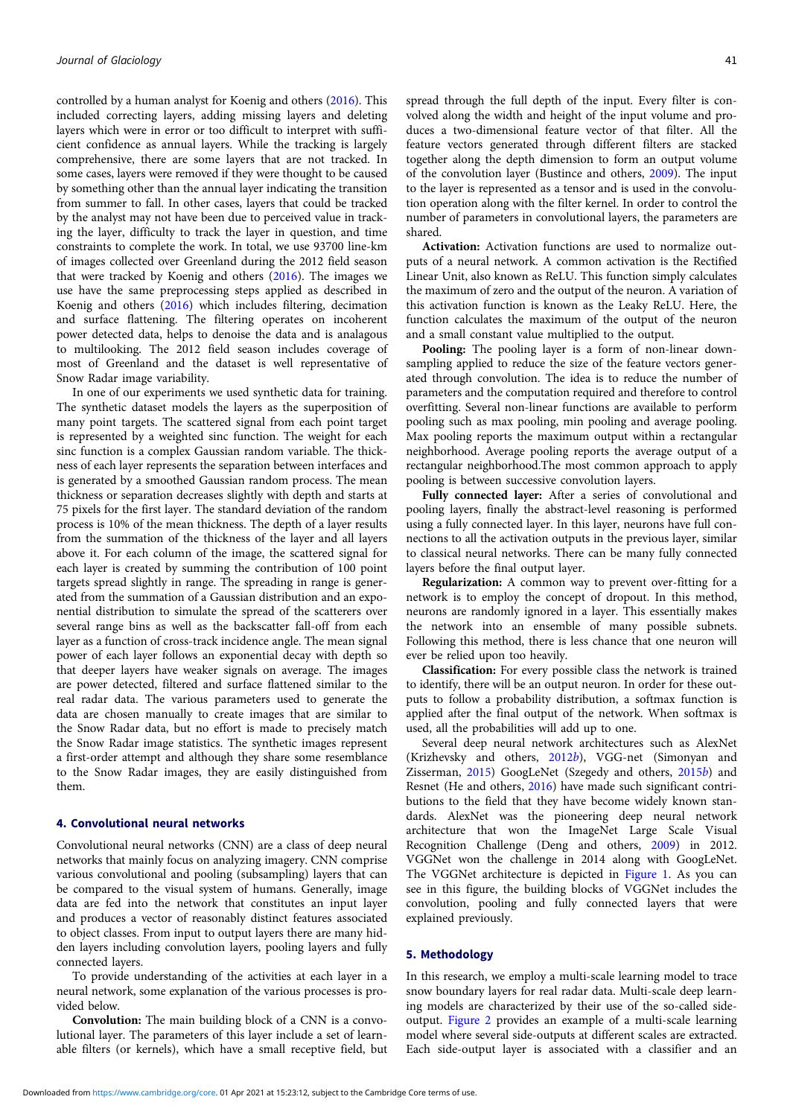controlled by a human analyst for Koenig and others [\(2016](#page-8-0)). This included correcting layers, adding missing layers and deleting layers which were in error or too difficult to interpret with sufficient confidence as annual layers. While the tracking is largely comprehensive, there are some layers that are not tracked. In some cases, layers were removed if they were thought to be caused by something other than the annual layer indicating the transition from summer to fall. In other cases, layers that could be tracked by the analyst may not have been due to perceived value in tracking the layer, difficulty to track the layer in question, and time constraints to complete the work. In total, we use 93700 line-km of images collected over Greenland during the 2012 field season that were tracked by Koenig and others ([2016](#page-8-0)). The images we use have the same preprocessing steps applied as described in Koenig and others [\(2016](#page-8-0)) which includes filtering, decimation and surface flattening. The filtering operates on incoherent power detected data, helps to denoise the data and is analagous to multilooking. The 2012 field season includes coverage of most of Greenland and the dataset is well representative of Snow Radar image variability.

In one of our experiments we used synthetic data for training. The synthetic dataset models the layers as the superposition of many point targets. The scattered signal from each point target is represented by a weighted sinc function. The weight for each sinc function is a complex Gaussian random variable. The thickness of each layer represents the separation between interfaces and is generated by a smoothed Gaussian random process. The mean thickness or separation decreases slightly with depth and starts at 75 pixels for the first layer. The standard deviation of the random process is 10% of the mean thickness. The depth of a layer results from the summation of the thickness of the layer and all layers above it. For each column of the image, the scattered signal for each layer is created by summing the contribution of 100 point targets spread slightly in range. The spreading in range is generated from the summation of a Gaussian distribution and an exponential distribution to simulate the spread of the scatterers over several range bins as well as the backscatter fall-off from each layer as a function of cross-track incidence angle. The mean signal power of each layer follows an exponential decay with depth so that deeper layers have weaker signals on average. The images are power detected, filtered and surface flattened similar to the real radar data. The various parameters used to generate the data are chosen manually to create images that are similar to the Snow Radar data, but no effort is made to precisely match the Snow Radar image statistics. The synthetic images represent a first-order attempt and although they share some resemblance to the Snow Radar images, they are easily distinguished from them.

#### 4. Convolutional neural networks

Convolutional neural networks (CNN) are a class of deep neural networks that mainly focus on analyzing imagery. CNN comprise various convolutional and pooling (subsampling) layers that can be compared to the visual system of humans. Generally, image data are fed into the network that constitutes an input layer and produces a vector of reasonably distinct features associated to object classes. From input to output layers there are many hidden layers including convolution layers, pooling layers and fully connected layers.

To provide understanding of the activities at each layer in a neural network, some explanation of the various processes is provided below.

Convolution: The main building block of a CNN is a convolutional layer. The parameters of this layer include a set of learnable filters (or kernels), which have a small receptive field, but spread through the full depth of the input. Every filter is convolved along the width and height of the input volume and produces a two-dimensional feature vector of that filter. All the feature vectors generated through different filters are stacked together along the depth dimension to form an output volume of the convolution layer (Bustince and others, [2009\)](#page-7-0). The input to the layer is represented as a tensor and is used in the convolution operation along with the filter kernel. In order to control the number of parameters in convolutional layers, the parameters are shared.

Activation: Activation functions are used to normalize outputs of a neural network. A common activation is the Rectified Linear Unit, also known as ReLU. This function simply calculates the maximum of zero and the output of the neuron. A variation of this activation function is known as the Leaky ReLU. Here, the function calculates the maximum of the output of the neuron and a small constant value multiplied to the output.

Pooling: The pooling layer is a form of non-linear downsampling applied to reduce the size of the feature vectors generated through convolution. The idea is to reduce the number of parameters and the computation required and therefore to control overfitting. Several non-linear functions are available to perform pooling such as max pooling, min pooling and average pooling. Max pooling reports the maximum output within a rectangular neighborhood. Average pooling reports the average output of a rectangular neighborhood.The most common approach to apply pooling is between successive convolution layers.

Fully connected layer: After a series of convolutional and pooling layers, finally the abstract-level reasoning is performed using a fully connected layer. In this layer, neurons have full connections to all the activation outputs in the previous layer, similar to classical neural networks. There can be many fully connected layers before the final output layer.

Regularization: A common way to prevent over-fitting for a network is to employ the concept of dropout. In this method, neurons are randomly ignored in a layer. This essentially makes the network into an ensemble of many possible subnets. Following this method, there is less chance that one neuron will ever be relied upon too heavily.

Classification: For every possible class the network is trained to identify, there will be an output neuron. In order for these outputs to follow a probability distribution, a softmax function is applied after the final output of the network. When softmax is used, all the probabilities will add up to one.

Several deep neural network architectures such as AlexNet (Krizhevsky and others, [2012](#page-8-0)b), VGG-net (Simonyan and Zisserman, [2015](#page-8-0)) GoogLeNet (Szegedy and others, [2015](#page-9-0)b) and Resnet (He and others, [2016](#page-8-0)) have made such significant contributions to the field that they have become widely known standards. AlexNet was the pioneering deep neural network architecture that won the ImageNet Large Scale Visual Recognition Challenge (Deng and others, [2009](#page-8-0)) in 2012. VGGNet won the challenge in 2014 along with GoogLeNet. The VGGNet architecture is depicted in [Figure 1.](#page-3-0) As you can see in this figure, the building blocks of VGGNet includes the convolution, pooling and fully connected layers that were explained previously.

#### 5. Methodology

In this research, we employ a multi-scale learning model to trace snow boundary layers for real radar data. Multi-scale deep learning models are characterized by their use of the so-called sideoutput. [Figure 2](#page-3-0) provides an example of a multi-scale learning model where several side-outputs at different scales are extracted. Each side-output layer is associated with a classifier and an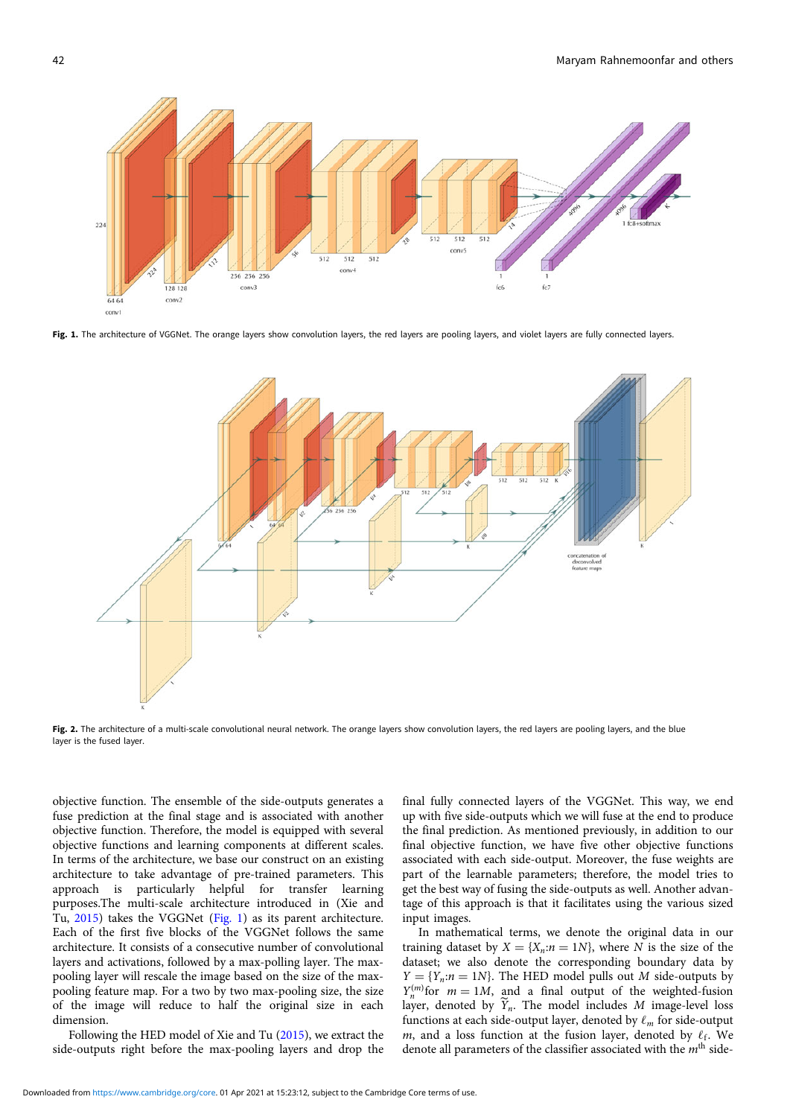<span id="page-3-0"></span>

Fig. 1. The architecture of VGGNet. The orange layers show convolution layers, the red layers are pooling layers, and violet layers are fully connected layers.



Fig. 2. The architecture of a multi-scale convolutional neural network. The orange layers show convolution layers, the red layers are pooling layers, and the blue layer is the fused layer.

objective function. The ensemble of the side-outputs generates a fuse prediction at the final stage and is associated with another objective function. Therefore, the model is equipped with several objective functions and learning components at different scales. In terms of the architecture, we base our construct on an existing architecture to take advantage of pre-trained parameters. This approach is particularly helpful for transfer learning purposes.The multi-scale architecture introduced in (Xie and Tu, [2015](#page-9-0)) takes the VGGNet (Fig. 1) as its parent architecture. Each of the first five blocks of the VGGNet follows the same architecture. It consists of a consecutive number of convolutional layers and activations, followed by a max-polling layer. The maxpooling layer will rescale the image based on the size of the maxpooling feature map. For a two by two max-pooling size, the size of the image will reduce to half the original size in each dimension.

Following the HED model of Xie and Tu [\(2015](#page-9-0)), we extract the side-outputs right before the max-pooling layers and drop the

final fully connected layers of the VGGNet. This way, we end up with five side-outputs which we will fuse at the end to produce the final prediction. As mentioned previously, in addition to our final objective function, we have five other objective functions associated with each side-output. Moreover, the fuse weights are part of the learnable parameters; therefore, the model tries to get the best way of fusing the side-outputs as well. Another advantage of this approach is that it facilitates using the various sized input images.

In mathematical terms, we denote the original data in our training dataset by  $X = \{X_n : n = 1N\}$ , where N is the size of the dataset; we also denote the corresponding boundary data by  $Y = \{Y_n : n = 1N\}$ . The HED model pulls out M side-outputs by  $Y_n^{(m)}$  for  $m = 1M$ , and a final output of the weighted-fusion layer, denoted by  $\widetilde{Y}_n$ . The model includes M image-level loss functions at each side-output layer, denoted by  $\ell_m$  for side-output m, and a loss function at the fusion layer, denoted by  $\ell_f$ . We denote all parameters of the classifier associated with the  $m<sup>th</sup>$  side-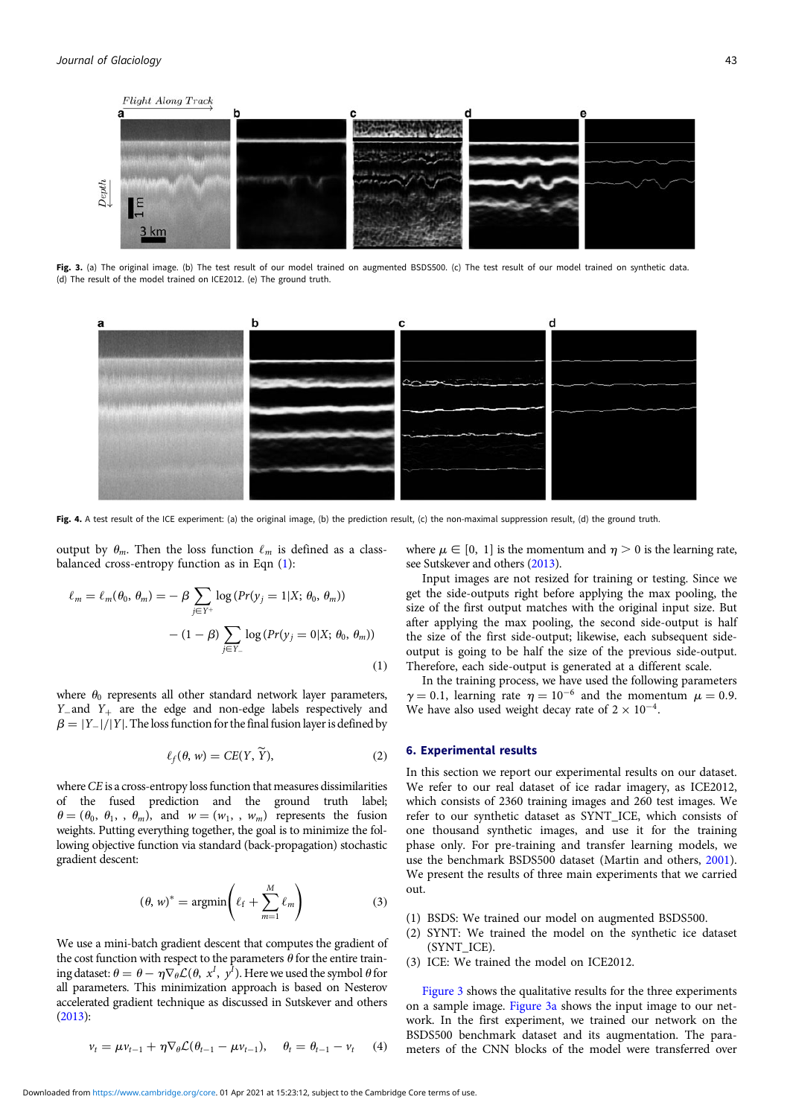<span id="page-4-0"></span>

Fig. 3. (a) The original image. (b) The test result of our model trained on augmented BSDS500. (c) The test result of our model trained on synthetic data. (d) The result of the model trained on ICE2012. (e) The ground truth.



Fig. 4. A test result of the ICE experiment: (a) the original image, (b) the prediction result, (c) the non-maximal suppression result, (d) the ground truth.

output by  $\theta_m$ . Then the loss function  $\ell_m$  is defined as a classbalanced cross-entropy function as in Eqn (1):

$$
\ell_m = \ell_m(\theta_0, \theta_m) = -\beta \sum_{j \in Y^+} \log \left( Pr(y_j = 1 | X; \theta_0, \theta_m) \right)
$$

$$
- (1 - \beta) \sum_{j \in Y_-} \log \left( Pr(y_j = 0 | X; \theta_0, \theta_m) \right)
$$

$$
\tag{1}
$$

where  $\theta_0$  represents all other standard network layer parameters, Y−and Y<sup>+</sup> are the edge and non-edge labels respectively and  $\beta = |Y_-|/|Y|$ . The loss function for the final fusion layer is defined by

$$
\ell_f(\theta, w) = CE(Y, \widetilde{Y}), \tag{2}
$$

where  $CE$  is a cross-entropy loss function that measures dissimilarities of the fused prediction and the ground truth label;  $\theta = (\theta_0, \theta_1, \theta_m)$ , and  $w = (w_1, w_m)$  represents the fusion weights. Putting everything together, the goal is to minimize the following objective function via standard (back-propagation) stochastic gradient descent:

$$
(\theta, w)^* = \operatorname{argmin}\left(\ell_f + \sum_{m=1}^{M} \ell_m\right) \tag{3}
$$

We use a mini-batch gradient descent that computes the gradient of the cost function with respect to the parameters  $\theta$  for the entire training dataset:  $\theta = \theta - \eta \nabla_{\theta} \mathcal{L}(\theta, x^I, y^I)$ . Here we used the symbol  $\theta$  for all parameters. This minimization approach is based on Nesterov accelerated gradient technique as discussed in Sutskever and others ([2013](#page-9-0)):

$$
\nu_t = \mu \nu_{t-1} + \eta \nabla_{\theta} \mathcal{L}(\theta_{t-1} - \mu \nu_{t-1}), \quad \theta_t = \theta_{t-1} - \nu_t \quad (4)
$$

where  $\mu \in [0, 1]$  is the momentum and  $\eta > 0$  is the learning rate, see Sutskever and others ([2013](#page-9-0)).

Input images are not resized for training or testing. Since we get the side-outputs right before applying the max pooling, the size of the first output matches with the original input size. But after applying the max pooling, the second side-output is half the size of the first side-output; likewise, each subsequent sideoutput is going to be half the size of the previous side-output. Therefore, each side-output is generated at a different scale.

In the training process, we have used the following parameters  $\gamma = 0.1$ , learning rate  $\eta = 10^{-6}$  and the momentum  $\mu = 0.9$ . We have also used weight decay rate of  $2 \times 10^{-4}$ .

### 6. Experimental results

In this section we report our experimental results on our dataset. We refer to our real dataset of ice radar imagery, as ICE2012, which consists of 2360 training images and 260 test images. We refer to our synthetic dataset as SYNT\_ICE, which consists of one thousand synthetic images, and use it for the training phase only. For pre-training and transfer learning models, we use the benchmark BSDS500 dataset (Martin and others, [2001](#page-8-0)). We present the results of three main experiments that we carried out.

- (1) BSDS: We trained our model on augmented BSDS500.
- (2) SYNT: We trained the model on the synthetic ice dataset (SYNT\_ICE).
- (3) ICE: We trained the model on ICE2012.

Figure 3 shows the qualitative results for the three experiments on a sample image. Figure 3a shows the input image to our network. In the first experiment, we trained our network on the BSDS500 benchmark dataset and its augmentation. The parameters of the CNN blocks of the model were transferred over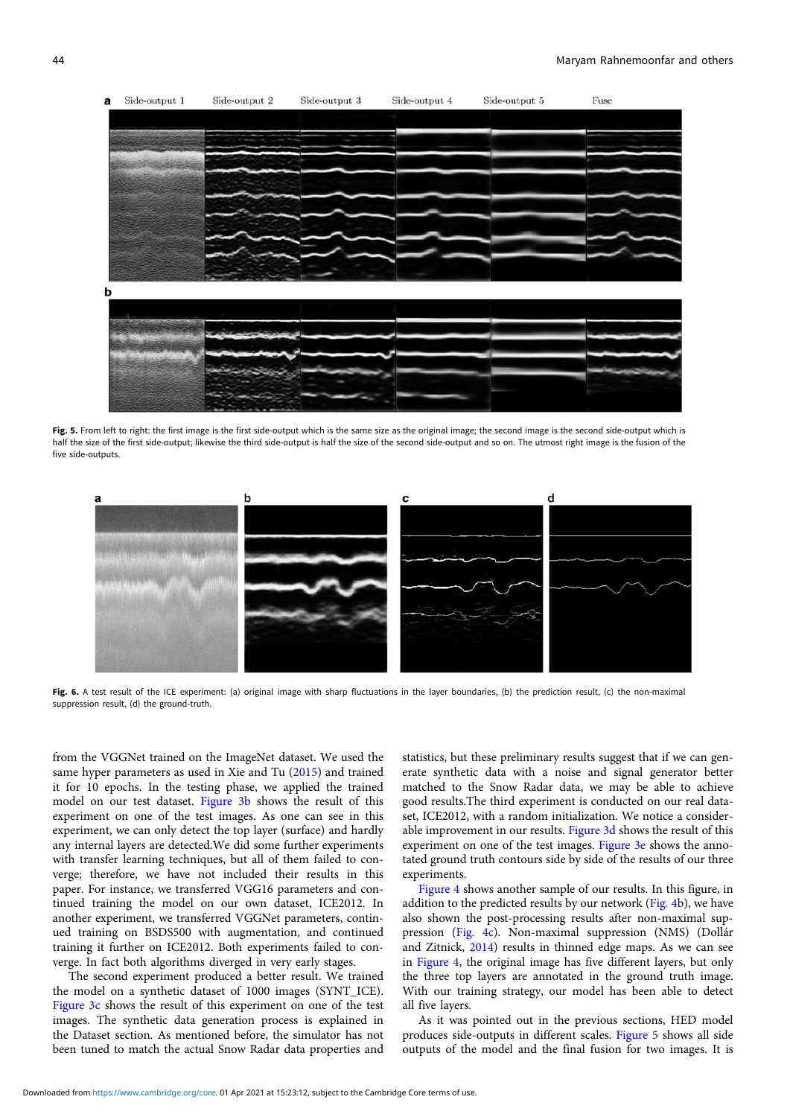<span id="page-5-0"></span>

Fig. 5. From left to right: the first image is the first side-output which is the same size as the original image; the second image is the second side-output which is half the size of the first side-output; likewise the third side-output is half the size of the second side-output and so on. The utmost right image is the fusion of the five side-outputs.



Fig. 6. A test result of the ICE experiment: (a) original image with sharp fluctuations in the layer boundaries, (b) the prediction result, (c) the non-maximal suppression result, (d) the ground-truth.

from the VGGNet trained on the ImageNet dataset. We used the same hyper parameters as used in Xie and Tu ([2015](#page-9-0)) and trained it for 10 epochs. In the testing phase, we applied the trained model on our test dataset. [Figure 3b](#page-4-0) shows the result of this experiment on one of the test images. As one can see in this experiment, we can only detect the top layer (surface) and hardly any internal layers are detected.We did some further experiments with transfer learning techniques, but all of them failed to converge; therefore, we have not included their results in this paper. For instance, we transferred VGG16 parameters and continued training the model on our own dataset, ICE2012. In another experiment, we transferred VGGNet parameters, continued training on BSDS500 with augmentation, and continued training it further on ICE2012. Both experiments failed to converge. In fact both algorithms diverged in very early stages.

The second experiment produced a better result. We trained the model on a synthetic dataset of 1000 images (SYNT\_ICE). [Figure 3c](#page-4-0) shows the result of this experiment on one of the test images. The synthetic data generation process is explained in the Dataset section. As mentioned before, the simulator has not been tuned to match the actual Snow Radar data properties and statistics, but these preliminary results suggest that if we can generate synthetic data with a noise and signal generator better matched to the Snow Radar data, we may be able to achieve good results.The third experiment is conducted on our real dataset, ICE2012, with a random initialization. We notice a considerable improvement in our results. [Figure 3d](#page-4-0) shows the result of this experiment on one of the test images. [Figure 3e](#page-4-0) shows the annotated ground truth contours side by side of the results of our three experiments.

[Figure 4](#page-4-0) shows another sample of our results. In this figure, in addition to the predicted results by our network ([Fig. 4b](#page-4-0)), we have also shown the post-processing results after non-maximal suppression ([Fig. 4c](#page-4-0)). Non-maximal suppression (NMS) (Dollár and Zitnick, [2014](#page-8-0)) results in thinned edge maps. As we can see in [Figure 4](#page-4-0), the original image has five different layers, but only the three top layers are annotated in the ground truth image. With our training strategy, our model has been able to detect all five layers.

As it was pointed out in the previous sections, HED model produces side-outputs in different scales. Figure 5 shows all side outputs of the model and the final fusion for two images. It is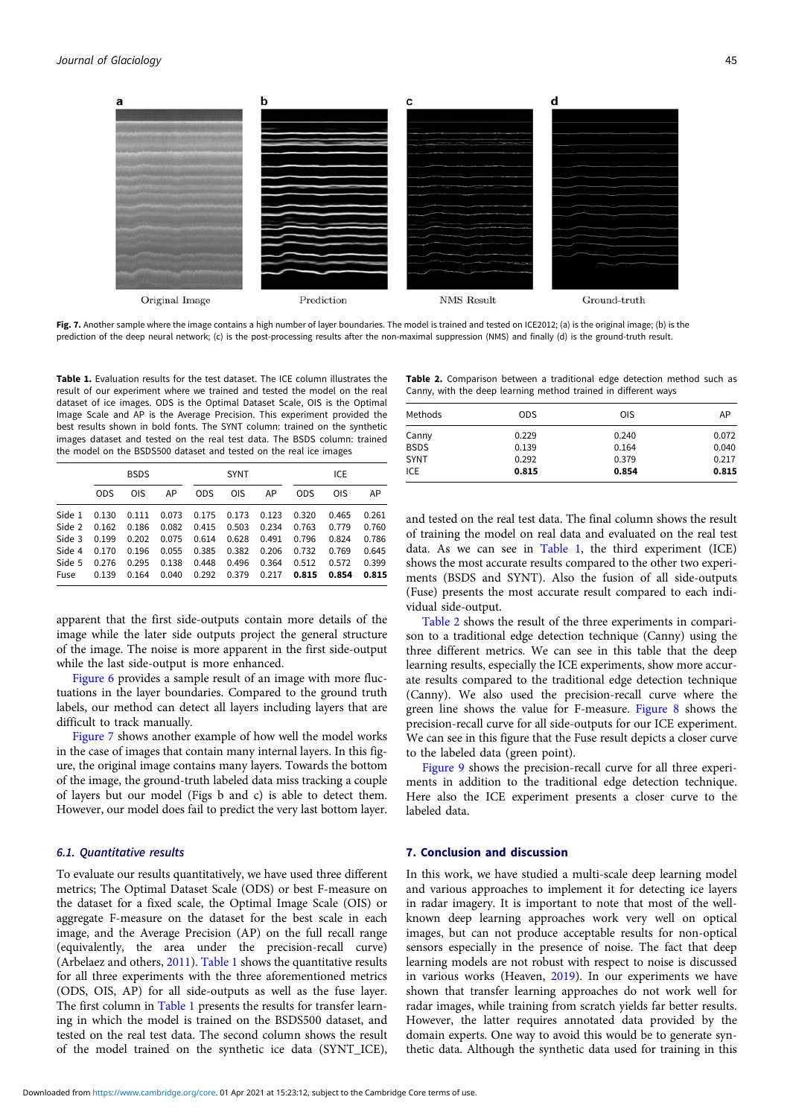

Fig. 7. Another sample where the image contains a high number of laver boundaries. The model is trained and tested on ICE2012; (a) is the original image; (b) is the prediction of the deep neural network; (c) is the post-processing results after the non-maximal suppression (NMS) and finally (d) is the ground-truth result.

Table 1. Evaluation results for the test dataset. The ICE column illustrates the result of our experiment where we trained and tested the model on the real dataset of ice images. ODS is the Optimal Dataset Scale, OIS is the Optimal Image Scale and AP is the Average Precision. This experiment provided the best results shown in bold fonts. The SYNT column: trained on the synthetic images dataset and tested on the real test data. The BSDS column: trained the model on the BSDS500 dataset and tested on the real ice images

|        | <b>BSDS</b> |            |       | <b>SYNT</b> |            |       | <b>ICE</b> |            |       |
|--------|-------------|------------|-------|-------------|------------|-------|------------|------------|-------|
|        | <b>ODS</b>  | <b>OIS</b> | AP    | <b>ODS</b>  | <b>OIS</b> | AP    | ODS        | <b>OIS</b> | AP    |
| Side 1 | 0.130       | 0.111      | 0.073 | 0.175       | 0.173      | 0.123 | 0.320      | 0.465      | 0.261 |
| Side 2 | 0.162       | 0.186      | 0.082 | 0.415       | 0.503      | 0.234 | 0.763      | 0.779      | 0.760 |
| Side 3 | 0.199       | 0.202      | 0.075 | 0.614       | 0.628      | 0.491 | 0.796      | 0.824      | 0.786 |
| Side 4 | 0.170       | 0.196      | 0.055 | 0.385       | 0.382      | 0.206 | 0.732      | 0.769      | 0.645 |
| Side 5 | 0.276       | 0.295      | 0.138 | 0.448       | 0.496      | 0.364 | 0.512      | 0.572      | 0.399 |
| Fuse   | 0.139       | 0.164      | 0.040 | 0.292       | 0.379      | 0.217 | 0.815      | 0.854      | 0.815 |
|        |             |            |       |             |            |       |            |            |       |

apparent that the first side-outputs contain more details of the image while the later side outputs project the general structure of the image. The noise is more apparent in the first side-output while the last side-output is more enhanced.

[Figure 6](#page-5-0) provides a sample result of an image with more fluctuations in the layer boundaries. Compared to the ground truth labels, our method can detect all layers including layers that are difficult to track manually.

Figure 7 shows another example of how well the model works in the case of images that contain many internal layers. In this figure, the original image contains many layers. Towards the bottom of the image, the ground-truth labeled data miss tracking a couple of layers but our model (Figs b and c) is able to detect them. However, our model does fail to predict the very last bottom layer.

#### 6.1. Quantitative results

To evaluate our results quantitatively, we have used three different metrics; The Optimal Dataset Scale (ODS) or best F-measure on the dataset for a fixed scale, the Optimal Image Scale (OIS) or aggregate F-measure on the dataset for the best scale in each image, and the Average Precision (AP) on the full recall range (equivalently, the area under the precision-recall curve) (Arbelaez and others, [2011\)](#page-7-0). Table 1 shows the quantitative results for all three experiments with the three aforementioned metrics (ODS, OIS, AP) for all side-outputs as well as the fuse layer. The first column in Table 1 presents the results for transfer learning in which the model is trained on the BSDS500 dataset, and tested on the real test data. The second column shows the result of the model trained on the synthetic ice data (SYNT\_ICE),

Table 2. Comparison between a traditional edge detection method such as Canny, with the deep learning method trained in different ways

| Methods     | <b>ODS</b> | <b>OIS</b> | AP    |
|-------------|------------|------------|-------|
| Canny       | 0.229      | 0.240      | 0.072 |
| <b>BSDS</b> | 0.139      | 0.164      | 0.040 |
| <b>SYNT</b> | 0.292      | 0.379      | 0.217 |
| <b>ICE</b>  | 0.815      | 0.854      | 0.815 |

and tested on the real test data. The final column shows the result of training the model on real data and evaluated on the real test data. As we can see in Table 1, the third experiment (ICE) shows the most accurate results compared to the other two experiments (BSDS and SYNT). Also the fusion of all side-outputs (Fuse) presents the most accurate result compared to each individual side-output.

Table 2 shows the result of the three experiments in comparison to a traditional edge detection technique (Canny) using the three different metrics. We can see in this table that the deep learning results, especially the ICE experiments, show more accurate results compared to the traditional edge detection technique (Canny). We also used the precision-recall curve where the green line shows the value for F-measure. [Figure 8](#page-7-0) shows the precision-recall curve for all side-outputs for our ICE experiment. We can see in this figure that the Fuse result depicts a closer curve to the labeled data (green point).

[Figure 9](#page-7-0) shows the precision-recall curve for all three experiments in addition to the traditional edge detection technique. Here also the ICE experiment presents a closer curve to the labeled data.

#### 7. Conclusion and discussion

In this work, we have studied a multi-scale deep learning model and various approaches to implement it for detecting ice layers in radar imagery. It is important to note that most of the wellknown deep learning approaches work very well on optical images, but can not produce acceptable results for non-optical sensors especially in the presence of noise. The fact that deep learning models are not robust with respect to noise is discussed in various works (Heaven, [2019\)](#page-8-0). In our experiments we have shown that transfer learning approaches do not work well for radar images, while training from scratch yields far better results. However, the latter requires annotated data provided by the domain experts. One way to avoid this would be to generate synthetic data. Although the synthetic data used for training in this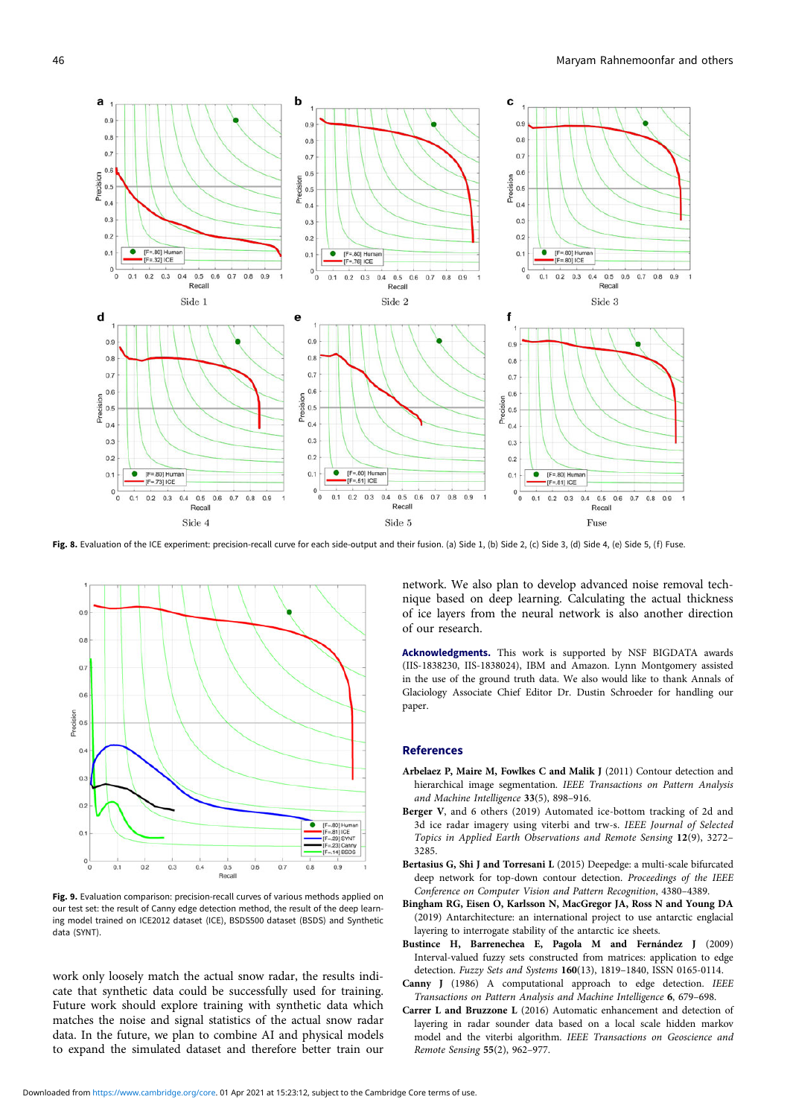<span id="page-7-0"></span>

Fig. 8. Evaluation of the ICE experiment: precision-recall curve for each side-output and their fusion. (a) Side 1, (b) Side 2, (c) Side 3, (d) Side 4, (e) Side 5, (f) Fuse.



Fig. 9. Evaluation comparison: precision-recall curves of various methods applied on our test set: the result of Canny edge detection method, the result of the deep learning model trained on ICE2012 dataset (ICE), BSDS500 dataset (BSDS) and Synthetic data (SYNT).

work only loosely match the actual snow radar, the results indicate that synthetic data could be successfully used for training. Future work should explore training with synthetic data which matches the noise and signal statistics of the actual snow radar data. In the future, we plan to combine AI and physical models to expand the simulated dataset and therefore better train our network. We also plan to develop advanced noise removal technique based on deep learning. Calculating the actual thickness of ice layers from the neural network is also another direction of our research.

Acknowledgments. This work is supported by NSF BIGDATA awards (IIS-1838230, IIS-1838024), IBM and Amazon. Lynn Montgomery assisted in the use of the ground truth data. We also would like to thank Annals of Glaciology Associate Chief Editor Dr. Dustin Schroeder for handling our paper.

#### References

- Arbelaez P, Maire M, Fowlkes C and Malik J (2011) Contour detection and hierarchical image segmentation. IEEE Transactions on Pattern Analysis and Machine Intelligence 33(5), 898–916.
- Berger V, and 6 others (2019) Automated ice-bottom tracking of 2d and 3d ice radar imagery using viterbi and trw-s. IEEE Journal of Selected Topics in Applied Earth Observations and Remote Sensing 12(9), 3272– 3285.
- Bertasius G, Shi J and Torresani L (2015) Deepedge: a multi-scale bifurcated deep network for top-down contour detection. Proceedings of the IEEE Conference on Computer Vision and Pattern Recognition, 4380–4389.
- Bingham RG, Eisen O, Karlsson N, MacGregor JA, Ross N and Young DA (2019) Antarchitecture: an international project to use antarctic englacial layering to interrogate stability of the antarctic ice sheets.
- Bustince H, Barrenechea E, Pagola M and Fernández J (2009) Interval-valued fuzzy sets constructed from matrices: application to edge detection. Fuzzy Sets and Systems 160(13), 1819–1840, ISSN 0165-0114.
- Canny J (1986) A computational approach to edge detection. IEEE Transactions on Pattern Analysis and Machine Intelligence 6, 679–698.
- Carrer L and Bruzzone L (2016) Automatic enhancement and detection of layering in radar sounder data based on a local scale hidden markov model and the viterbi algorithm. IEEE Transactions on Geoscience and Remote Sensing 55(2), 962–977.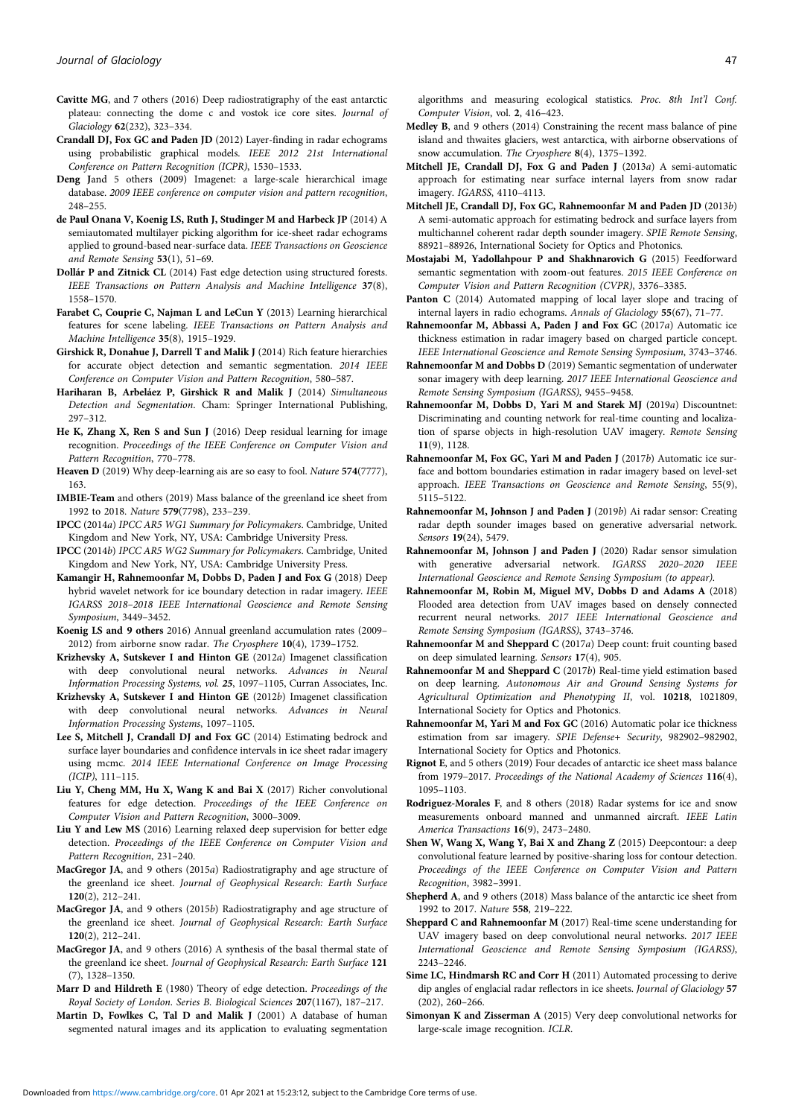- <span id="page-8-0"></span>Cavitte MG, and 7 others (2016) Deep radiostratigraphy of the east antarctic plateau: connecting the dome c and vostok ice core sites. Journal of Glaciology 62(232), 323–334.
- Crandall DJ, Fox GC and Paden JD (2012) Layer-finding in radar echograms using probabilistic graphical models. IEEE 2012 21st International Conference on Pattern Recognition (ICPR), 1530–1533.
- Deng Jand 5 others (2009) Imagenet: a large-scale hierarchical image database. 2009 IEEE conference on computer vision and pattern recognition, 248–255.
- de Paul Onana V, Koenig LS, Ruth J, Studinger M and Harbeck JP (2014) A semiautomated multilayer picking algorithm for ice-sheet radar echograms applied to ground-based near-surface data. IEEE Transactions on Geoscience and Remote Sensing 53(1), 51–69.
- Dollár P and Zitnick CL (2014) Fast edge detection using structured forests. IEEE Transactions on Pattern Analysis and Machine Intelligence 37(8), 1558–1570.
- Farabet C, Couprie C, Najman L and LeCun Y (2013) Learning hierarchical features for scene labeling. IEEE Transactions on Pattern Analysis and Machine Intelligence 35(8), 1915–1929.
- Girshick R, Donahue J, Darrell T and Malik J (2014) Rich feature hierarchies for accurate object detection and semantic segmentation. 2014 IEEE Conference on Computer Vision and Pattern Recognition, 580–587.
- Hariharan B, Arbeláez P, Girshick R and Malik J (2014) Simultaneous Detection and Segmentation. Cham: Springer International Publishing, 297–312.
- He K, Zhang X, Ren S and Sun J (2016) Deep residual learning for image recognition. Proceedings of the IEEE Conference on Computer Vision and Pattern Recognition, 770–778.
- Heaven D (2019) Why deep-learning ais are so easy to fool. Nature 574(7777), 163.
- IMBIE-Team and others (2019) Mass balance of the greenland ice sheet from 1992 to 2018. Nature 579(7798), 233–239.
- IPCC (2014a) IPCC AR5 WG1 Summary for Policymakers. Cambridge, United Kingdom and New York, NY, USA: Cambridge University Press.
- IPCC (2014b) IPCC AR5 WG2 Summary for Policymakers. Cambridge, United Kingdom and New York, NY, USA: Cambridge University Press.
- Kamangir H, Rahnemoonfar M, Dobbs D, Paden J and Fox G (2018) Deep hybrid wavelet network for ice boundary detection in radar imagery. IEEE IGARSS 2018–2018 IEEE International Geoscience and Remote Sensing Symposium, 3449–3452.
- Koenig LS and 9 others 2016) Annual greenland accumulation rates (2009– 2012) from airborne snow radar. The Cryosphere 10(4), 1739–1752.
- Krizhevsky A, Sutskever I and Hinton GE (2012a) Imagenet classification with deep convolutional neural networks. Advances in Neural Information Processing Systems, vol. 25, 1097–1105, Curran Associates, Inc.
- Krizhevsky A, Sutskever I and Hinton GE (2012b) Imagenet classification with deep convolutional neural networks. Advances in Neural Information Processing Systems, 1097–1105.
- Lee S, Mitchell J, Crandall DJ and Fox GC (2014) Estimating bedrock and surface layer boundaries and confidence intervals in ice sheet radar imagery using mcmc. 2014 IEEE International Conference on Image Processing (ICIP), 111–115.
- Liu Y, Cheng MM, Hu X, Wang K and Bai X (2017) Richer convolutional features for edge detection. Proceedings of the IEEE Conference on Computer Vision and Pattern Recognition, 3000–3009.
- Liu Y and Lew MS (2016) Learning relaxed deep supervision for better edge detection. Proceedings of the IEEE Conference on Computer Vision and Pattern Recognition, 231–240.
- MacGregor JA, and 9 others (2015a) Radiostratigraphy and age structure of the greenland ice sheet. Journal of Geophysical Research: Earth Surface 120(2), 212–241.
- MacGregor JA, and 9 others (2015b) Radiostratigraphy and age structure of the greenland ice sheet. Journal of Geophysical Research: Earth Surface 120(2), 212–241.
- MacGregor JA, and 9 others (2016) A synthesis of the basal thermal state of the greenland ice sheet. Journal of Geophysical Research: Earth Surface 121 (7), 1328–1350.
- Marr D and Hildreth E (1980) Theory of edge detection. Proceedings of the Royal Society of London. Series B. Biological Sciences 207(1167), 187–217.
- Martin D, Fowlkes C, Tal D and Malik J (2001) A database of human segmented natural images and its application to evaluating segmentation

algorithms and measuring ecological statistics. Proc. 8th Int'l Conf. Computer Vision, vol. 2, 416–423.

- Medley B, and 9 others (2014) Constraining the recent mass balance of pine island and thwaites glaciers, west antarctica, with airborne observations of snow accumulation. The Cryosphere 8(4), 1375–1392.
- Mitchell JE, Crandall DJ, Fox G and Paden J (2013a) A semi-automatic approach for estimating near surface internal layers from snow radar imagery. IGARSS, 4110–4113.
- Mitchell JE, Crandall DJ, Fox GC, Rahnemoonfar M and Paden JD (2013b) A semi-automatic approach for estimating bedrock and surface layers from multichannel coherent radar depth sounder imagery. SPIE Remote Sensing, 88921–88926, International Society for Optics and Photonics.
- Mostajabi M, Yadollahpour P and Shakhnarovich G (2015) Feedforward semantic segmentation with zoom-out features. 2015 IEEE Conference on Computer Vision and Pattern Recognition (CVPR), 3376–3385.
- Panton C (2014) Automated mapping of local layer slope and tracing of internal layers in radio echograms. Annals of Glaciology 55(67), 71–77.
- Rahnemoonfar M, Abbassi A, Paden J and Fox GC (2017a) Automatic ice thickness estimation in radar imagery based on charged particle concept. IEEE International Geoscience and Remote Sensing Symposium, 3743–3746.
- Rahnemoonfar M and Dobbs D (2019) Semantic segmentation of underwater sonar imagery with deep learning. 2017 IEEE International Geoscience and Remote Sensing Symposium (IGARSS), 9455–9458.
- Rahnemoonfar M, Dobbs D, Yari M and Starek MJ (2019a) Discountnet: Discriminating and counting network for real-time counting and localization of sparse objects in high-resolution UAV imagery. Remote Sensing 11(9), 1128.
- Rahnemoonfar M, Fox GC, Yari M and Paden J (2017b) Automatic ice surface and bottom boundaries estimation in radar imagery based on level-set approach. IEEE Transactions on Geoscience and Remote Sensing, 55(9), 5115–5122.
- Rahnemoonfar M, Johnson J and Paden J (2019b) Ai radar sensor: Creating radar depth sounder images based on generative adversarial network. Sensors 19(24), 5479.
- Rahnemoonfar M, Johnson J and Paden J (2020) Radar sensor simulation with generative adversarial network. IGARSS 2020–2020 IEEE International Geoscience and Remote Sensing Symposium (to appear).
- Rahnemoonfar M, Robin M, Miguel MV, Dobbs D and Adams A (2018) Flooded area detection from UAV images based on densely connected recurrent neural networks. 2017 IEEE International Geoscience and Remote Sensing Symposium (IGARSS), 3743–3746.
- Rahnemoonfar M and Sheppard C (2017a) Deep count: fruit counting based on deep simulated learning. Sensors 17(4), 905.
- Rahnemoonfar M and Sheppard C (2017b) Real-time yield estimation based on deep learning. Autonomous Air and Ground Sensing Systems for Agricultural Optimization and Phenotyping II, vol. 10218, 1021809, International Society for Optics and Photonics.
- Rahnemoonfar M, Yari M and Fox GC (2016) Automatic polar ice thickness estimation from sar imagery. SPIE Defense+ Security, 982902–982902, International Society for Optics and Photonics.
- Rignot E, and 5 others (2019) Four decades of antarctic ice sheet mass balance from 1979-2017. Proceedings of the National Academy of Sciences 116(4), 1095–1103.
- Rodriguez-Morales F, and 8 others (2018) Radar systems for ice and snow measurements onboard manned and unmanned aircraft. IEEE Latin America Transactions 16(9), 2473–2480.
- Shen W, Wang X, Wang Y, Bai X and Zhang Z (2015) Deepcontour: a deep convolutional feature learned by positive-sharing loss for contour detection. Proceedings of the IEEE Conference on Computer Vision and Pattern Recognition, 3982–3991.
- Shepherd A, and 9 others (2018) Mass balance of the antarctic ice sheet from 1992 to 2017. Nature 558, 219–222.
- Sheppard C and Rahnemoonfar M (2017) Real-time scene understanding for UAV imagery based on deep convolutional neural networks. 2017 IEEE International Geoscience and Remote Sensing Symposium (IGARSS), 2243–2246.
- Sime LC, Hindmarsh RC and Corr H (2011) Automated processing to derive dip angles of englacial radar reflectors in ice sheets. Journal of Glaciology 57 (202), 260–266.
- Simonyan K and Zisserman A (2015) Very deep convolutional networks for large-scale image recognition. ICLR.